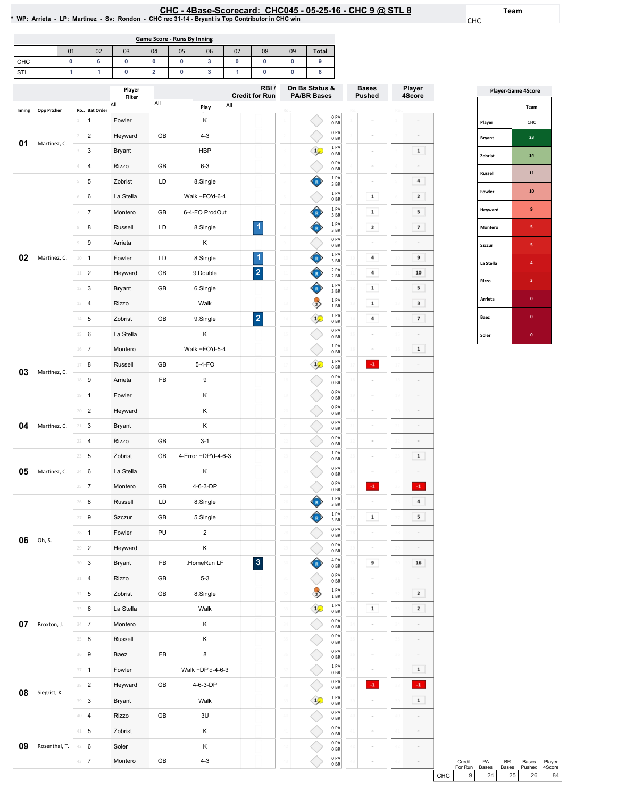# EHC - 4Base-Scorecard: CHC045 - 05-25-16 - CHC 9 @ STL 8 لـ CHC - 4Base-Scorecard: CHC045 - 05-25-16 - CHC 9 @ STL<br>WP: Arrieta - LP: Martinez - Sv: Rondon - CHC rec 31-14 - Bryant is Top Contributor in CHC win \*

Team CHC

| Game Score - Runs By Inning                                                               |    |    |    |    |    |    |    |    |    |              |  |
|-------------------------------------------------------------------------------------------|----|----|----|----|----|----|----|----|----|--------------|--|
|                                                                                           | 01 | 02 | 03 | 04 | 05 | 06 | 07 | 08 | 09 | <b>Total</b> |  |
| <b>CHC</b>                                                                                |    | h  |    |    |    | 3  |    |    |    |              |  |
| STL                                                                                       |    |    |    |    |    | 3  |    |    |    |              |  |
| On Bs Status &<br>RBI/<br>Player<br><b>PA/BR Bases</b><br><b>Credit for Run</b><br>Filter |    |    |    |    |    |    |    |    |    |              |  |

|        |                    |                                       | Player<br>Filter |     |                         | RBI/<br><b>Credit for Run</b> | On Bs Status &<br><b>PA/BR Bases</b> |                         | <b>Bases</b><br><b>Pushed</b> |              | Player<br>4Score |
|--------|--------------------|---------------------------------------|------------------|-----|-------------------------|-------------------------------|--------------------------------------|-------------------------|-------------------------------|--------------|------------------|
| Inning | <b>Opp Pitcher</b> | Ro Bat Order                          | All              | All | Play                    | All                           |                                      |                         |                               |              |                  |
|        |                    | $\mathbf{1}$<br>1                     | Fowler           |     | Κ                       |                               |                                      | 0PA<br>0 <sub>BR</sub>  |                               |              |                  |
|        |                    | $\overline{\mathbf{c}}$<br>$\sqrt{2}$ | Heyward          | GB  | $4 - 3$                 |                               |                                      | 0PA<br>0 <sub>BR</sub>  |                               |              |                  |
| 01     | Martinez, C.       | 3<br>3                                | <b>Bryant</b>    |     | <b>HBP</b>              |                               | $\frac{1}{2}$                        | 1PA<br>0 <sub>BR</sub>  | ×                             |              | 1                |
|        |                    | 4<br>4                                | Rizzo            | GB  | $6 - 3$                 |                               |                                      | 0PA<br>0 <sub>BR</sub>  | ÷                             |              |                  |
|        |                    | 5<br>5                                | Zobrist          | LD  | 8.Single                |                               | R                                    | 1 PA<br>3BR             | ÷                             |              | 4                |
|        |                    | 6<br>$\,$ $\,$ $\,$                   | La Stella        |     | Walk +FO'd-6-4          |                               |                                      | 1 PA<br>0 <sub>BR</sub> | $\mathbf 1$                   |              | 2                |
|        |                    | $\overline{7}$                        | Montero          | GB  | 6-4-FO ProdOut          |                               | R                                    | 1PA<br>3 BR             | $\mathbf 1$                   |              | 5                |
|        |                    | 8<br>8                                | Russell          | LD  | 8.Single                | 1                             | R                                    | 1PA<br>3 BR             | $\mathbf 2$                   |              | 7                |
|        |                    | 9<br>$\mathcal G$                     | Arrieta          |     | κ                       |                               |                                      | 0PA<br>0 <sub>BR</sub>  |                               |              |                  |
| 02     | Martinez, C.       | $10 - 1$                              | Fowler           | LD  | 8.Single                | 1                             |                                      | 1PA<br>3 BR             | 4<br>$\mathbf{10}$            |              | 9                |
|        |                    | $\overline{2}$<br>$11\,$              | Heyward          | GB  | 9.Double                | $\overline{\mathbf{2}}$       |                                      | 2 PA<br>2 BR            | 4                             |              | 10               |
|        |                    | 3<br>12                               | Bryant           | GB  | 6.Single                |                               | R                                    | 1PA<br>3BR              | $\mathbf 1$<br>12             |              | 5                |
|        |                    | 4<br>13                               | <b>Rizzo</b>     |     | Walk                    |                               | $\Rightarrow$                        | 1PA<br>1BR              | $\mathbf 1$                   |              | 3                |
|        |                    | $14$ 5                                | Zobrist          | GB  | 9.Single                | $\overline{\mathbf{c}}$       | $\frac{1}{2}$<br>$1\,$               | 1 PA<br>0 <sub>BR</sub> | 4<br>$\frac{1}{2}$            |              | 7                |
|        |                    | 6<br>15                               | La Stella        |     | Κ                       |                               |                                      | 0PA<br>0 <sub>BR</sub>  | 15<br>÷                       |              |                  |
|        |                    | $16$ 7                                | Montero          |     | Walk +FO'd-5-4          |                               | 16                                   | 1 PA<br>0 <sub>BR</sub> | 16<br>$\alpha$                | $\mathbf{1}$ | $\mathbf 1$      |
|        |                    | 8<br>17                               | Russell          | GB  | 5-4-FO                  |                               | $\frac{1}{2}$                        | 1 PA<br>0 <sub>BR</sub> | $\cdot 1$                     |              |                  |
| 03     | Martinez, C.       | $18\,$<br>9                           | Arrieta          | FB  | 9                       |                               | 18                                   | 0PA<br>0 <sub>BR</sub>  | ś<br>1ź                       |              |                  |
|        |                    | 19<br>$\mathbf{1}$                    | Fowler           |     | Κ                       |                               |                                      | 0PA<br>0 <sub>BR</sub>  | 1S                            | 15           |                  |
|        |                    | $\overline{2}$<br>20                  | Heyward          |     | κ                       |                               | 20                                   | 0PA<br>0 <sub>BR</sub>  | $\overline{20}$<br>è          |              |                  |
| 04     | Martinez, C.       | 21<br>3                               | Bryant           |     | Κ                       |                               | $\overline{2}$                       | 0PA<br>0 <sub>BR</sub>  | 21<br>÷                       |              |                  |
|        |                    | $\overline{4}$<br>22                  | <b>Rizzo</b>     | GB  | $3 - 1$                 |                               | $\overline{2}$                       | 0PA<br>0 <sub>BR</sub>  | ÷                             |              |                  |
|        |                    | 23<br>5                               | Zobrist          | GB  | 4-Error +DP'd-4-6-3     |                               | $\mathfrak{D}$                       | 1PA<br>0 <sub>BR</sub>  | 23<br>à.                      |              | 1                |
| 05     | Martinez, C.       | 6<br>24                               | La Stella        |     | κ                       |                               | 24                                   | 0 PA<br>0 <sub>BR</sub> | ÷                             |              |                  |
|        |                    | $25 \t 7$                             | Montero          | GB  | 4-6-3-DP                |                               |                                      | 0PA<br>0 <sub>BR</sub>  | $^{\rm -1}$<br>21             |              | $\mathbf{-1}$    |
|        |                    | 8<br>26                               | Russell          | LD  | 8.Single                |                               |                                      | 1 PA<br>3BR             | ÷                             |              | 4                |
|        |                    | 9<br>27                               | Szczur           | GB  | 5.Single                |                               |                                      | 1 PA<br>3BR             | $\mathbf 1$                   |              | 5                |
|        |                    | 28<br>$\mathbf{1}$                    | Fowler           | PU  | $\overline{\mathbf{c}}$ |                               |                                      | 0PA<br>0 <sub>BR</sub>  |                               |              |                  |
| 06     | Oh, S.             | $\overline{2}$<br>29                  | Heyward          |     | Κ                       |                               |                                      | 0PA<br>0 <sub>BR</sub>  |                               |              |                  |
|        |                    | $\mathbf{3}$<br>30                    | Bryant           | FB  | .HomeRun LF             | $\mathbf{3}$                  |                                      | 4 PA<br>0BR             | 9<br>30                       |              | 16               |
|        |                    | $31 - 4$                              | Rizzo            | GB  | $5 - 3$                 |                               | $_{31}$                              | 0PA<br>0 <sub>BR</sub>  | 31<br>÷                       |              |                  |
|        |                    | $32 - 5$                              | Zobrist          | GB  | 8.Single                |                               | $\Rightarrow$                        | 1PA<br>1 BR             | $\bar{ }$<br>32               |              | 2                |
|        |                    | 33 6                                  | La Stella        |     | Walk                    |                               | $\mathcal{P}$<br>33                  | 1PA<br>0 <sub>BR</sub>  | $\mathbf 1$<br>33             |              | 2                |
| 07     | Broxton, J.        | $34 - 7$                              | Montero          |     | Κ                       |                               | 34                                   | 0PA<br>0 <sub>BR</sub>  | ä,<br>34                      |              | ÷                |
|        |                    | 35 8                                  | Russell          |     | Κ                       |                               | 35                                   | 0PA<br>0 <sub>BR</sub>  | 35<br>$\alpha$                |              |                  |
|        |                    | 36 9                                  | Baez             | FB  | 8                       |                               | 36                                   | 0PA<br>0 <sub>BR</sub>  | $\alpha$<br>36                |              |                  |
|        |                    | $37 - 1$                              | Fowler           |     | Walk +DP'd-4-6-3        |                               | 37                                   | 1 PA<br>0 <sub>BR</sub> | 37<br>$\alpha$                | 31           | $\mathbf 1$      |
|        |                    | 38 <sup>2</sup>                       | Heyward          | GB  | 4-6-3-DP                |                               | 38                                   | 0PA<br>0B               | $\mathbf{-1}$<br>38           | 38           | $\mathbf{-1}$    |
| 08     | Siegrist, K.       | 39 3                                  | Bryant           |     | Walk                    |                               | 39<br>$\frac{1}{2}$                  | 1PA<br>0BR              | ś<br>39                       | 39           | $\mathbf 1$      |
|        |                    | $40-4$                                | Rizzo            | GB  | 3U                      |                               | 40                                   | 0PA<br>0BR              | 40<br>ä                       | 40           |                  |
|        |                    | $41 - 5$                              | Zobrist          |     | Κ                       |                               | 41                                   | 0PA<br>0 <sub>BR</sub>  | 41<br>$\bar{ }$               |              |                  |
| 09     | Rosenthal, T.      | 42 6                                  | Soler            |     | κ                       |                               | 42                                   | 0PA<br>0 <sub>BR</sub>  | 42<br>÷                       |              |                  |
|        |                    | 43 7                                  | Montero          | GB  | $4 - 3$                 |                               | 43                                   | 0PA<br>0B               | 43<br>÷                       |              |                  |
|        |                    |                                       |                  |     |                         |                               |                                      |                         |                               |              |                  |

| <b>Player-Game 4Score</b> |              |  |  |  |  |  |  |
|---------------------------|--------------|--|--|--|--|--|--|
|                           | Team         |  |  |  |  |  |  |
| Player                    | CHC          |  |  |  |  |  |  |
| <b>Bryant</b>             | 23           |  |  |  |  |  |  |
| Zobrist                   | 14           |  |  |  |  |  |  |
| <b>Russell</b>            | 11           |  |  |  |  |  |  |
| <b>Fowler</b>             | 10           |  |  |  |  |  |  |
| Heyward                   | 9            |  |  |  |  |  |  |
| Montero                   | 5            |  |  |  |  |  |  |
| Szczur                    | 5            |  |  |  |  |  |  |
| La Stella                 | 4            |  |  |  |  |  |  |
| Rizzo                     | 3            |  |  |  |  |  |  |
| Arrieta                   | $\mathbf{0}$ |  |  |  |  |  |  |
| Baez                      | $\mathbf{0}$ |  |  |  |  |  |  |
| Soler                     | 0            |  |  |  |  |  |  |

|       | Credit  | PA           | <b>BR</b> | <b>Bases</b>    | Plaver |
|-------|---------|--------------|-----------|-----------------|--------|
|       | For Run | <b>Bases</b> | Bases     | Pushed          | 4Score |
| снс I | 9 I     | 24           | 25        | 26 <sup>1</sup> | 84     |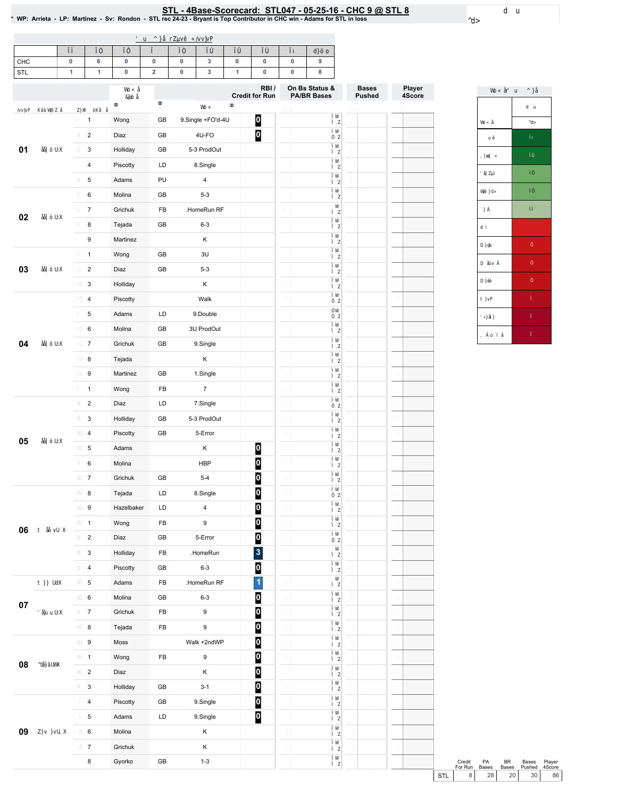<u>STL - 4Base-Scorecard: STL047 - 05-25-16 - CHC 9 @ STL 8</u><br>WP: Arrieta - LP: Martinez - Sv: Rondon - STL rec 24-23 - Bryant is Top Contributor in CHC win - Adams for STL in loss \*

| <b>CHC</b>      |  |  | ∼ |  |  |
|-----------------|--|--|---|--|--|
| <b>CTI</b><br>◡ |  |  |   |  |  |

|        |                           |            |               |                         | RBI/<br><b>Credit for Run</b> | On Bs Status &<br><b>PA/BR Bases</b> | <b>Bases</b><br><b>Pushed</b> | Player<br>4Score |
|--------|---------------------------|------------|---------------|-------------------------|-------------------------------|--------------------------------------|-------------------------------|------------------|
|        |                           |            |               |                         |                               |                                      |                               |                  |
|        | $\mathbf{1}$              | Wong       | GB            | 9.Single +FO'd-4U       | $\boldsymbol{0}$              |                                      |                               |                  |
|        | $\sqrt{2}$                | Diaz       | GB            | 4U-FO                   | $\overline{\mathbf{0}}$       |                                      |                               |                  |
| 01     | $\mathbf{3}$              | Holliday   | GB            | 5-3 ProdOut             |                               |                                      |                               |                  |
|        | $\overline{\mathbf{4}}$   | Piscotty   | LD            | 8.Single                |                               |                                      |                               |                  |
|        | $\,$ 5 $\,$               | Adams      | PU            | 4                       |                               |                                      |                               |                  |
|        | $\,6\,$                   | Molina     | GB            | $5 - 3$                 |                               |                                      |                               |                  |
| 02     | $\boldsymbol{7}$          | Grichuk    | FB            | .HomeRun RF             |                               |                                      |                               |                  |
|        | 8                         | Tejada     | GB            | $6 - 3$                 |                               |                                      |                               |                  |
|        | $\boldsymbol{9}$          | Martinez   |               | Κ                       |                               |                                      |                               |                  |
|        | $\mathbf{1}$              | Wong       | GB            | 3U                      |                               |                                      |                               |                  |
| 03     | $\sqrt{2}$                | Diaz       | GB            | $5 - 3$                 |                               |                                      |                               |                  |
|        | $\mathbf{3}$              | Holliday   |               | Κ                       |                               |                                      |                               |                  |
|        | $\overline{\mathbf{4}}$   | Piscotty   |               | Walk                    |                               |                                      |                               |                  |
|        | $\,$ 5 $\,$               | Adams      | LD            | 9.Double                |                               |                                      |                               |                  |
|        | $\,6\,$                   | Molina     | GB            | 3U ProdOut              |                               |                                      |                               |                  |
| 04     | $\boldsymbol{7}$          | Grichuk    | GB            | 9.Single                |                               |                                      |                               |                  |
|        | 8                         | Tejada     |               | Κ                       |                               |                                      |                               |                  |
|        | $\boldsymbol{9}$          | Martinez   | GB            | 1.Single                |                               |                                      |                               |                  |
|        | $\mathbf{1}$              | Wong       | FB            | $\boldsymbol{7}$        |                               |                                      |                               |                  |
|        | $\overline{2}$            | Diaz       | LD            | 7.Single                |                               |                                      |                               |                  |
|        | $\mathbf{3}$              | Holliday   | GB            | 5-3 ProdOut             |                               |                                      |                               |                  |
| 05     | $\sqrt{4}$                | Piscotty   | GB            | 5-Error                 |                               |                                      |                               |                  |
|        | $\,$ 5 $\,$               | Adams      |               | Κ                       | $\bf{0}$                      |                                      |                               |                  |
|        | $\,6\,$                   | Molina     |               | <b>HBP</b>              | $\overline{0}$                |                                      |                               |                  |
|        | $\boldsymbol{7}$          | Grichuk    | GB            | $5 - 4$                 | 0                             |                                      |                               |                  |
|        | $\bf8$                    | Tejada     | LD            | 8.Single                | $\bf{0}$                      |                                      |                               |                  |
|        | $\boldsymbol{9}$          | Hazelbaker | LD            | $\overline{\mathbf{4}}$ | $\overline{0}$                |                                      |                               |                  |
| 06     | $\mathbf{1}$              | Wong       | FB            | 9                       | $\boldsymbol{0}$              |                                      |                               |                  |
|        | $\overline{\mathbf{c}}$   | Diaz       | GB            | 5-Error                 | $\overline{\mathbf{0}}$       |                                      |                               |                  |
|        | 3                         | Holliday   | FB            | .HomeRun                | $\mathbf{3}$                  |                                      |                               |                  |
|        | $\pmb{4}$                 | Piscotty   | GB            | $6 - 3$                 | $\mathbf{0}$                  |                                      |                               |                  |
|        | $\,$ 5 $\,$               | Adams      | FB            | .HomeRun RF             | $\overline{1}$                |                                      |                               |                  |
| $07\,$ | $\mathbf 6$               | Molina     | GB            | $6 - 3$                 | $\bf{0}$                      |                                      |                               |                  |
|        | $\boldsymbol{7}$          | Grichuk    | FB            | $\boldsymbol{9}$        | $\bullet$                     |                                      |                               |                  |
|        | $\bf 8$                   | Tejada     | FB            | $\boldsymbol{9}$        | $\boldsymbol{0}$              |                                      |                               |                  |
|        | $\boldsymbol{9}$          | Moss       |               | Walk +2ndWP             | $\bullet$                     |                                      |                               |                  |
| 08     | $\mathbf{1}$              | Wong       | FB            | $\boldsymbol{9}$        | $\bf{0}$                      |                                      |                               |                  |
|        | $\sqrt{2}$                | Diaz       |               | Κ                       | $\boldsymbol{0}$              |                                      |                               |                  |
|        | $\ensuremath{\mathsf{3}}$ | Holliday   | GB            | $3 - 1$                 | 0                             |                                      |                               |                  |
|        | $\pmb{4}$                 | Piscotty   | GB            | 9.Single                | $\bf{0}$                      |                                      |                               |                  |
|        | $\,$ 5 $\,$               | Adams      | $\mathsf{LD}$ | 9.Single                | $\overline{\mathbf{0}}$       |                                      |                               |                  |
| 09     | 6                         | Molina     |               | K                       |                               |                                      |                               |                  |
|        | $\boldsymbol{7}$          | Grichuk    |               | $\mathsf K$             |                               |                                      |                               |                  |
|        | 8                         | Gyorko     | ${\sf GB}$    | $1 - 3$                 |                               |                                      |                               |                  |

|     | Credit  | <b>PA</b>       | ВR              | Bases  | Player |
|-----|---------|-----------------|-----------------|--------|--------|
|     | For Run | <b>Bases</b>    | <b>Bases</b>    | Pushed | 4Score |
| STI |         | 28 <sup>1</sup> | 20 <sup>1</sup> | 30     | 86     |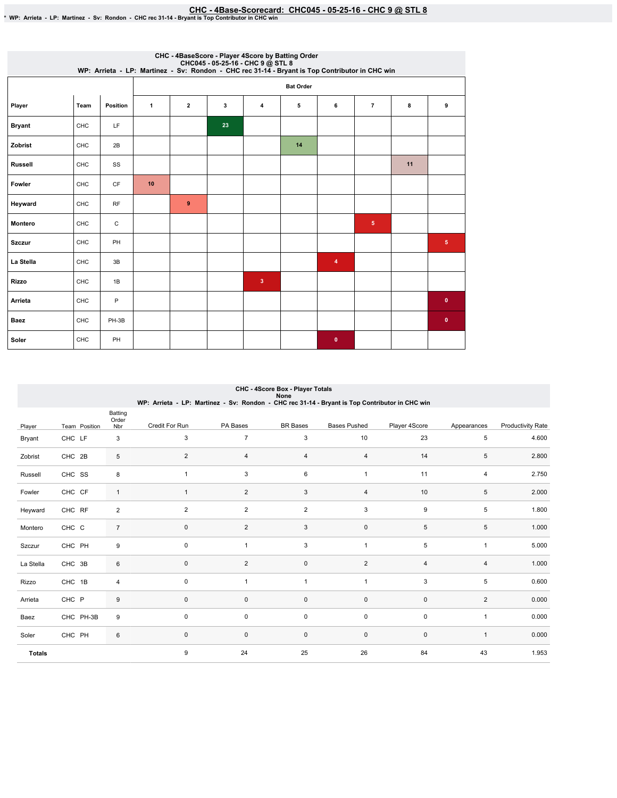# EHC - 4Base-Scorecard: CHC045 - 05-25-16 - CHC 9 @ STL 8 . و CHC - 4Base-Scorecard: CHC045 - 05-25-16 - CHC 9<br>\* WP: Arrieta - LP: Martinez - Sv: Rondon - CHC rec 31-14 - Bryant is Top Contributor in CHC win

|                | CHC - 4BaseScore - Player 4Score by Batting Order<br>CHC045 - 05-25-16 - CHC 9 @ STL 8<br>WP: Arrieta - LP: Martinez - Sv: Rondon - CHC rec 31-14 - Bryant is Top Contributor in CHC win |          |              |                |    |              |                  |           |                |    |                |  |
|----------------|------------------------------------------------------------------------------------------------------------------------------------------------------------------------------------------|----------|--------------|----------------|----|--------------|------------------|-----------|----------------|----|----------------|--|
|                |                                                                                                                                                                                          |          |              |                |    |              | <b>Bat Order</b> |           |                |    |                |  |
| Player         | Team                                                                                                                                                                                     | Position | $\mathbf{1}$ | $\overline{2}$ | 3  | 4            | 5                | 6         | $\overline{7}$ | 8  | 9              |  |
| <b>Bryant</b>  | CHC                                                                                                                                                                                      | LF       |              |                | 23 |              |                  |           |                |    |                |  |
| Zobrist        | CHC                                                                                                                                                                                      | 2B       |              |                |    |              | 14               |           |                |    |                |  |
| <b>Russell</b> | <b>CHC</b>                                                                                                                                                                               | SS       |              |                |    |              |                  |           |                | 11 |                |  |
| Fowler         | CHC                                                                                                                                                                                      | CF       | 10           |                |    |              |                  |           |                |    |                |  |
| Heyward        | CHC                                                                                                                                                                                      | RF       |              | 9              |    |              |                  |           |                |    |                |  |
| <b>Montero</b> | CHC                                                                                                                                                                                      | С        |              |                |    |              |                  |           | 5              |    |                |  |
| <b>Szczur</b>  | CHC                                                                                                                                                                                      | PH       |              |                |    |              |                  |           |                |    | $\overline{5}$ |  |
| La Stella      | CHC                                                                                                                                                                                      | 3B       |              |                |    |              |                  | 4         |                |    |                |  |
| Rizzo          | CHC                                                                                                                                                                                      | 1B       |              |                |    | $\mathbf{3}$ |                  |           |                |    |                |  |
| Arrieta        | CHC                                                                                                                                                                                      | P        |              |                |    |              |                  |           |                |    | $\bf{0}$       |  |
| Baez           | <b>CHC</b>                                                                                                                                                                               | PH-3B    |              |                |    |              |                  |           |                |    | $\mathbf 0$    |  |
| Soler          | CHC                                                                                                                                                                                      | PH       |              |                |    |              |                  | $\bullet$ |                |    |                |  |

|               | CHC - 4Score Box - Player Totals<br>None<br>WP: Arrieta - LP: Martinez - Sv: Rondon - CHC rec 31-14 - Bryant is Top Contributor in CHC win |                         |                |                |                 |                     |                |                |                          |  |  |  |  |
|---------------|--------------------------------------------------------------------------------------------------------------------------------------------|-------------------------|----------------|----------------|-----------------|---------------------|----------------|----------------|--------------------------|--|--|--|--|
| Player        | Team Position                                                                                                                              | Batting<br>Order<br>Nbr | Credit For Run | PA Bases       | <b>BR</b> Bases | <b>Bases Pushed</b> | Player 4Score  | Appearances    | <b>Productivity Rate</b> |  |  |  |  |
| Bryant        | CHC LF                                                                                                                                     | 3                       | 3              | $\overline{7}$ | 3               | 10                  | 23             | 5              | 4.600                    |  |  |  |  |
| Zobrist       | CHC 2B                                                                                                                                     | 5                       | $\overline{2}$ | $\overline{4}$ | 4               | $\overline{4}$      | 14             | 5              | 2.800                    |  |  |  |  |
| Russell       | CHC SS                                                                                                                                     | 8                       | $\mathbf{1}$   | 3              | 6               | $\mathbf{1}$        | 11             | 4              | 2.750                    |  |  |  |  |
| Fowler        | CHC CF                                                                                                                                     | $\mathbf{1}$            | $\mathbf{1}$   | $\overline{2}$ | 3               | $\overline{4}$      | 10             | 5              | 2.000                    |  |  |  |  |
| Heyward       | CHC RF                                                                                                                                     | $\overline{2}$          | $\overline{2}$ | $\overline{2}$ | $\overline{2}$  | 3                   | 9              | 5              | 1.800                    |  |  |  |  |
| Montero       | CHC C                                                                                                                                      | $\overline{7}$          | $\mathbf 0$    | $\overline{2}$ | 3               | $\mathsf 0$         | 5              | 5              | 1.000                    |  |  |  |  |
| Szczur        | CHC PH                                                                                                                                     | 9                       | 0              | $\mathbf{1}$   | 3               | $\mathbf{1}$        | 5              | $\mathbf{1}$   | 5.000                    |  |  |  |  |
| La Stella     | CHC 3B                                                                                                                                     | 6                       | $\mathbf 0$    | $\overline{2}$ | $\mathbf 0$     | $\overline{2}$      | $\overline{4}$ | $\overline{4}$ | 1.000                    |  |  |  |  |
| Rizzo         | CHC 1B                                                                                                                                     | 4                       | $\mathbf 0$    | $\mathbf{1}$   | $\mathbf{1}$    | $\overline{1}$      | 3              | 5              | 0.600                    |  |  |  |  |
| Arrieta       | CHC P                                                                                                                                      | 9                       | $\pmb{0}$      | $\mathbf 0$    | $\mathsf 0$     | $\mathsf 0$         | $\pmb{0}$      | $\overline{2}$ | 0.000                    |  |  |  |  |
| Baez          | CHC PH-3B                                                                                                                                  | 9                       | $\mathbf 0$    | 0              | $\mathsf 0$     | $\mathsf 0$         | $\mathbf 0$    | $\mathbf{1}$   | 0.000                    |  |  |  |  |
| Soler         | CHC PH                                                                                                                                     | 6                       | $\pmb{0}$      | $\mathbf 0$    | $\pmb{0}$       | $\pmb{0}$           | $\mathbf 0$    | $\mathbf{1}$   | 0.000                    |  |  |  |  |
| <b>Totals</b> |                                                                                                                                            |                         | 9              | 24             | 25              | 26                  | 84             | 43             | 1.953                    |  |  |  |  |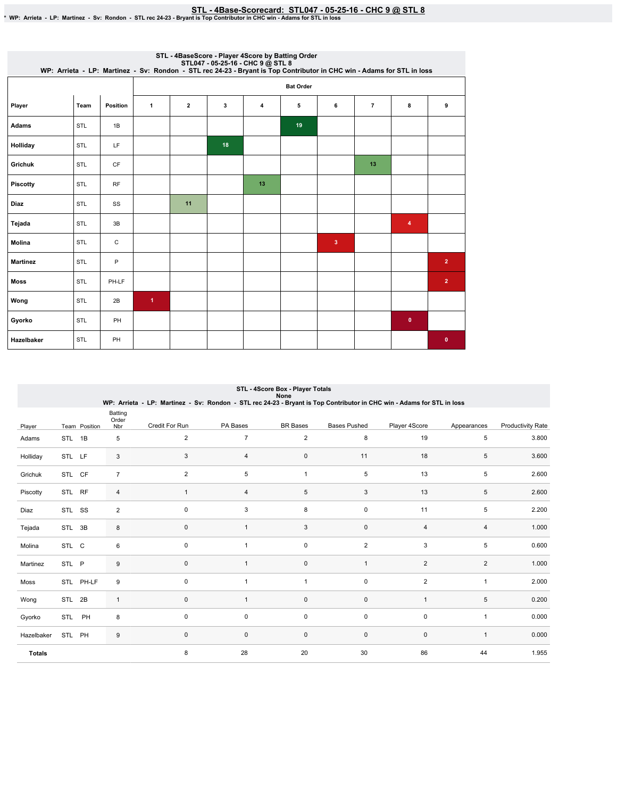STL-4Base-Scorecard:STL047-05-25-16-CHC9@ STL8 \*WP:Arrieta-LP:Martinez-Sv:Rondon-STLrec24-23-BryantisTopContributorinCHCwin-AdamsforSTLinloss

| STL - 4BaseScore - Player 4Score by Batting Order<br>STL047 - 05-25-16 - CHC 9 @ STL 8<br>WP: Arrieta - LP: Martinez - Sv: Rondon - STL rec 24-23 - Bryant is Top Contributor in CHC win - Adams for STL in loss |            |              |                      |                         |    |    |                  |              |                |             |                |  |  |
|------------------------------------------------------------------------------------------------------------------------------------------------------------------------------------------------------------------|------------|--------------|----------------------|-------------------------|----|----|------------------|--------------|----------------|-------------|----------------|--|--|
|                                                                                                                                                                                                                  |            |              |                      |                         |    |    | <b>Bat Order</b> |              |                |             |                |  |  |
| Player                                                                                                                                                                                                           | Team       | Position     | $\mathbf{1}$         | $\overline{\mathbf{2}}$ | 3  | 4  | 5                | 6            | $\overline{7}$ | 8           | 9              |  |  |
| <b>Adams</b>                                                                                                                                                                                                     | STL        | 1B           |                      |                         |    |    | 19               |              |                |             |                |  |  |
| Holliday                                                                                                                                                                                                         | STL        | <b>LF</b>    |                      |                         | 18 |    |                  |              |                |             |                |  |  |
| Grichuk                                                                                                                                                                                                          | STL        | <b>CF</b>    |                      |                         |    |    |                  |              | 13             |             |                |  |  |
| <b>Piscotty</b>                                                                                                                                                                                                  | STL        | RF           |                      |                         |    | 13 |                  |              |                |             |                |  |  |
| Diaz                                                                                                                                                                                                             | <b>STL</b> | SS           |                      | 11                      |    |    |                  |              |                |             |                |  |  |
| Tejada                                                                                                                                                                                                           | <b>STL</b> | 3B           |                      |                         |    |    |                  |              |                | 4           |                |  |  |
| Molina                                                                                                                                                                                                           | STL        | $\mathtt{C}$ |                      |                         |    |    |                  | $\mathbf{3}$ |                |             |                |  |  |
| <b>Martinez</b>                                                                                                                                                                                                  | STL        | P            |                      |                         |    |    |                  |              |                |             | $\overline{2}$ |  |  |
| <b>Moss</b>                                                                                                                                                                                                      | STL        | PH-LF        |                      |                         |    |    |                  |              |                |             | $\overline{2}$ |  |  |
| Wong                                                                                                                                                                                                             | STL        | 2B           | $\blacktriangleleft$ |                         |    |    |                  |              |                |             |                |  |  |
| Gyorko                                                                                                                                                                                                           | STL        | PH           |                      |                         |    |    |                  |              |                | $\mathbf 0$ |                |  |  |
| Hazelbaker                                                                                                                                                                                                       | STL        | PH           |                      |                         |    |    |                  |              |                |             | $\bf{0}$       |  |  |

|               |        |               |                         |                |                | STL - 4Score Box - Player Totals<br><b>None</b> |                     | WP: Arrieta - LP: Martinez - Sv: Rondon - STL rec 24-23 - Bryant is Top Contributor in CHC win - Adams for STL in loss |                |                          |
|---------------|--------|---------------|-------------------------|----------------|----------------|-------------------------------------------------|---------------------|------------------------------------------------------------------------------------------------------------------------|----------------|--------------------------|
| Player        |        | Team Position | Batting<br>Order<br>Nbr | Credit For Run | PA Bases       | <b>BR</b> Bases                                 | <b>Bases Pushed</b> | Player 4Score                                                                                                          | Appearances    | <b>Productivity Rate</b> |
| Adams         | STL 1B |               | 5                       | $\overline{c}$ | $\overline{7}$ | $\overline{2}$                                  | 8                   | 19                                                                                                                     | 5              | 3.800                    |
| Holliday      | STL LF |               | 3                       | 3              | 4              | 0                                               | 11                  | 18                                                                                                                     | 5              | 3.600                    |
| Grichuk       | STL CF |               | $\overline{7}$          | $\overline{2}$ | 5              | $\mathbf{1}$                                    | 5                   | 13                                                                                                                     | 5              | 2.600                    |
| Piscotty      | STL RF |               | 4                       | $\mathbf{1}$   | $\overline{4}$ | 5                                               | 3                   | 13                                                                                                                     | 5              | 2.600                    |
| Diaz          | STL SS |               | $\overline{2}$          | $\mathbf 0$    | 3              | 8                                               | $\pmb{0}$           | 11                                                                                                                     | 5              | 2.200                    |
| Tejada        | STL 3B |               | 8                       | 0              | $\mathbf{1}$   | 3                                               | 0                   | $\overline{4}$                                                                                                         | 4              | 1.000                    |
| Molina        | STL C  |               | 6                       | $\mathbf 0$    |                | $\mathsf 0$                                     | $\overline{2}$      | 3                                                                                                                      | 5              | 0.600                    |
| Martinez      | STL P  |               | 9                       | $\mathbf 0$    | $\mathbf{1}$   | 0                                               | 1                   | $\overline{2}$                                                                                                         | $\overline{2}$ | 1.000                    |
| Moss          |        | STL PH-LF     | 9                       | $\mathbf 0$    | 1              | $\mathbf{1}$                                    | 0                   | $\overline{2}$                                                                                                         | $\mathbf{1}$   | 2.000                    |
| Wong          | STL 2B |               | $\mathbf{1}$            | $\mathbf 0$    | $\mathbf{1}$   | $\mathsf 0$                                     | $\mathsf 0$         | $\overline{1}$                                                                                                         | 5              | 0.200                    |
| Gyorko        | STL PH |               | 8                       | $\mathbf 0$    | 0              | 0                                               | $\mathsf 0$         | $\mathbf 0$                                                                                                            | $\mathbf{1}$   | 0.000                    |
| Hazelbaker    | STL PH |               | 9                       | 0              | 0              | $\mathbf 0$                                     | $\mathbf 0$         | $\mathbf 0$                                                                                                            | $\mathbf{1}$   | 0.000                    |
| <b>Totals</b> |        |               |                         | 8              | 28             | 20                                              | 30                  | 86                                                                                                                     | 44             | 1.955                    |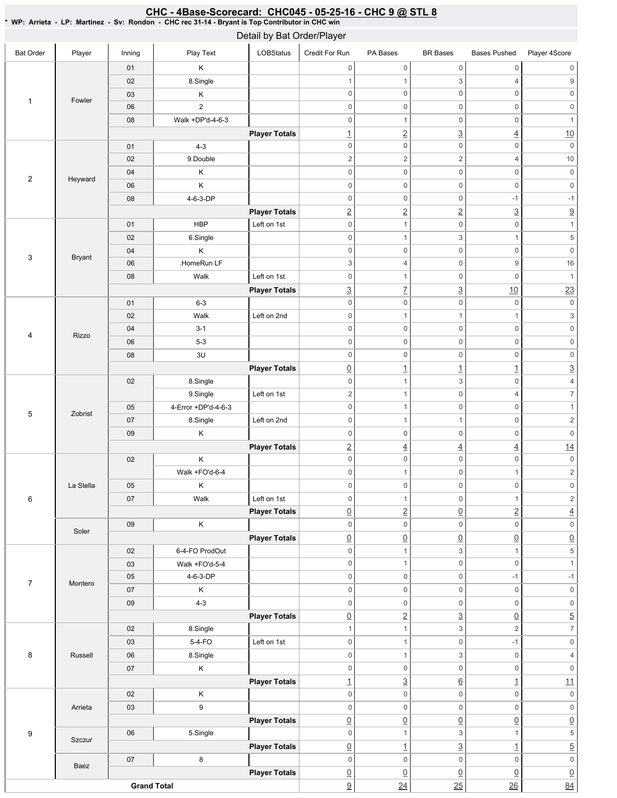### Bat Order | Player | Inning | PlayText | LOBStatus Credit For Run PA Bases BR Bases Bases Pushed Player 4Score 1 | Fowler 01 K 02 8.Single 03 K 06 2 08 Walk+DP'd-4-6-3 **Player Totals** 2 Heyward 01 4-3 02 | 9.Double 04 K 06 K 08 4-6-3-DP **Player Totals** 3 Bryant 01 HBP Left on 1st 02 6.Single 04 K 06 | HomeRun LF 08 | Walk Left on 1st **Player Totals** 4 Rizzo 01 6-3 02 | Walk Left on 2nd 04 3-1 06 5-3 08 3U **Player Totals** 5 Zobrist 02 8.Single 9.Single Left on 1st 05 4-Error +DP'd-4-6-3 07 | 8.Single | Left on 2nd 09 K **Player Totals** 6 La Stella 02 K Walk+FO'd-6-4 05 K 07 | Walk Left on 1st **Player Totals** Soler 09 K **Player Totals** 7 Montero 02 6-4-FO ProdOut 03 **Walk +FO'd-5-4** 05 4-6-3-DP 07 K 09 4-3 **Player Totals** 8 Russell 02 8.Single 03 5-4-FO Left on 1st 06 | 8.Single 07 K **Player Totals** 9 Arrieta 02 K 03 9 **Player Totals Szczur** 06 | 5.Single **Player Totals** Baez 07 8 **Player Totals Grand Total** 0 0 0 0 0 0 1 1 3 4 9 0 0 0 0 0 0 0 0 0 0 0 0 0 0 0 1 1 2 3 4 10 0 0 0 0 0 0 2 2 2 4 10 0 0 0 0 0 0 0 0 0 0 0 0 0 0 -1 -1 2 2 2 3 9 0 0 0 1 0 1 3 1 5 0 0 0 0 0 0 3 4 0 9 16 0 0 1 0 1  $\frac{3}{2}$  7  $\frac{3}{2}$  10 23 0 0 0 0 0 0 0 1 1 1  $1$  3 0 0 0 0 0 0 0 0 0 0 0 0 0 0 0 0 0 0  $\boxed{0}$  1  $\boxed{1}$   $\boxed{1}$   $\boxed{3}$ 0 1 3 0 4 2 1 0 4 7 0 0 1 0 1 0 1 1 0 2 0 0 0 0 0 0 2 4 4 4 14 0 0 0 0 0 0 0 1 0 1 2 0 0 0 0 0 0 0 1 0 1 2 0 2 0 2 4 0 0 0 0 0 0  $\begin{array}{c|c|c|c|c|c} \hline \Omega & \Omega & \Omega & \Omega \end{array} \hspace{1.5cm} \begin{array}{c|c|c} \hline \Omega & \Omega & \Omega \end{array} \hspace{1.5cm} \begin{array}{c|c|c} \hline \Omega & \Omega & \Omega \end{array} \end{array}$ 0 1 3 1 5 0 0 1 0 1 0 0 -1 -1 0 0 0 0 0 0 0 0 0 0 0 0  $\boxed{0}$  2 3  $\boxed{0}$  5 1 1 3 2 7 0 1 0 -1 0 0 1 3 0 4 0 0 0 0 0 0 1 3 6 1 11 0 0 0 0 0 0 0 0 0 0 0 0  $\overline{0}$   $\overline{0}$   $\overline{0}$   $\overline{0}$   $\overline{0}$   $\overline{0}$   $\overline{0}$ 0 1 3 1 5  $\boxed{0}$  1  $\boxed{3}$  1  $\boxed{5}$ 0 0 0 0 0 0  $\overline{0}$   $\overline{0}$   $\overline{0}$   $\overline{0}$   $\overline{0}$   $\overline{0}$   $\overline{0}$  $\frac{9}{9}$  24 25 26 34 Detail by Bat Order/Player

## <u>CHC - 4Base-Scorecard: CHC045 - 05-25-16 - CHC 9 @ STL 8</u>

\* WP: Arrieta-LP: Martinez- Sv: Rondon- CHC rec 31-14 - Bryant is Top Contributor in CHC win